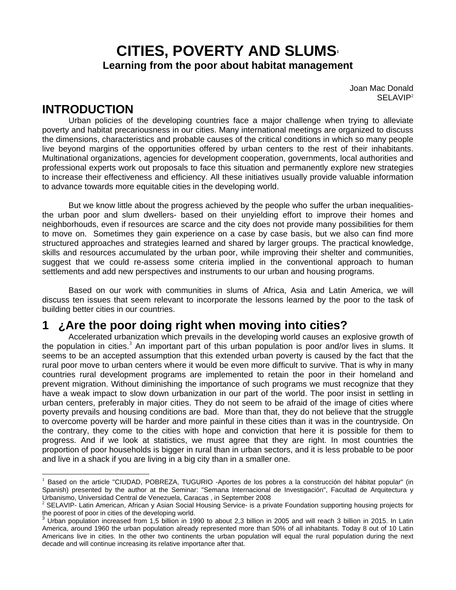# **CITIES, POVERTY AND SLUMS<sup>1</sup> Learning from the poor about habitat management**

Joan Mac Donald SELAVIP<sup>2</sup>

## **INTRODUCTION**

 $\overline{a}$ 

 Urban policies of the developing countries face a major challenge when trying to alleviate poverty and habitat precariousness in our cities. Many international meetings are organized to discuss the dimensions, characteristics and probable causes of the critical conditions in which so many people live beyond margins of the opportunities offered by urban centers to the rest of their inhabitants. Multinational organizations, agencies for development cooperation, governments, local authorities and professional experts work out proposals to face this situation and permanently explore new strategies to increase their effectiveness and efficiency. All these initiatives usually provide valuable information to advance towards more equitable cities in the developing world.

 But we know little about the progress achieved by the people who suffer the urban inequalitiesthe urban poor and slum dwellers- based on their unyielding effort to improve their homes and neighborhouds, even if resources are scarce and the city does not provide many possibilities for them to move on. Sometimes they gain experience on a case by case basis, but we also can find more structured approaches and strategies learned and shared by larger groups. The practical knowledge, skills and resources accumulated by the urban poor, while improving their shelter and communities, suggest that we could re-assess some criteria implied in the conventional approach to human settlements and add new perspectives and instruments to our urban and housing programs.

 Based on our work with communities in slums of Africa, Asia and Latin America, we will discuss ten issues that seem relevant to incorporate the lessons learned by the poor to the task of building better cities in our countries.

## **1 ¿Are the poor doing right when moving into cities?**

 Accelerated urbanization which prevails in the developing world causes an explosive growth of the population in cities.<sup>3</sup> An important part of this urban population is poor and/or lives in slums. It seems to be an accepted assumption that this extended urban poverty is caused by the fact that the rural poor move to urban centers where it would be even more difficult to survive. That is why in many countries rural development programs are implemented to retain the poor in their homeland and prevent migration. Without diminishing the importance of such programs we must recognize that they have a weak impact to slow down urbanization in our part of the world. The poor insist in settling in urban centers, preferably in major cities. They do not seem to be afraid of the image of cities where poverty prevails and housing conditions are bad. More than that, they do not believe that the struggle to overcome poverty will be harder and more painful in these cities than it was in the countryside. On the contrary, they come to the cities with hope and conviction that here it is possible for them to progress. And if we look at statistics, we must agree that they are right. In most countries the proportion of poor households is bigger in rural than in urban sectors, and it is less probable to be poor and live in a shack if you are living in a big city than in a smaller one.

<sup>&</sup>lt;sup>1</sup> Based on the article "CIUDAD, POBREZA, TUGURIO -Aportes de los pobres a la construcción del hábitat popular" (in Spanish) presented by the author at the Seminar: "Semana Internacional de Investigación", Facultad de Arquitectura y Urbanismo, Universidad Central de Venezuela, Caracas , in September 2008<br><sup>2</sup> SELAVIP- Latin American, African y Asian Social Housing Service- is a private Foundation supporting housing projects for

the poorest of poor in cities of the developing world.

<sup>3</sup> Urban population increased from 1,5 billion in 1990 to about 2,3 billion in 2005 and will reach 3 billion in 2015. In Latin America, around 1960 the urban population already represented more than 50% of all inhabitants. Today 8 out of 10 Latin Americans live in cities. In the other two continents the urban population will equal the rural population during the next decade and will continue increasing its relative importance after that.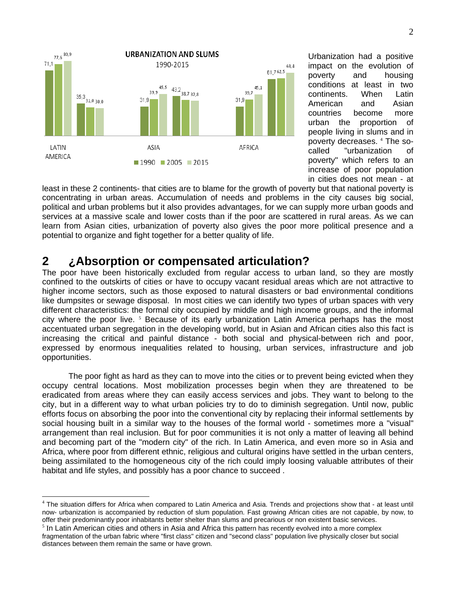

Urbanization had a positive impact on the evolution of poverty and housing conditions at least in two continents. When Latin American and Asian countries become more urban the proportion of people living in slums and in poverty decreases. <sup>4</sup> The socalled "urbanization of poverty" which refers to an increase of poor population in cities does not mean - at

least in these 2 continents- that cities are to blame for the growth of poverty but that national poverty is concentrating in urban areas. Accumulation of needs and problems in the city causes big social, political and urban problems but it also provides advantages, for we can supply more urban goods and services at a massive scale and lower costs than if the poor are scattered in rural areas. As we can learn from Asian cities, urbanization of poverty also gives the poor more political presence and a potential to organize and fight together for a better quality of life.

## **2 ¿Absorption or compensated articulation?**

 $\overline{a}$ 

The poor have been historically excluded from regular access to urban land, so they are mostly confined to the outskirts of cities or have to occupy vacant residual areas which are not attractive to higher income sectors, such as those exposed to natural disasters or bad environmental conditions like dumpsites or sewage disposal. In most cities we can identify two types of urban spaces with very different characteristics: the formal city occupied by middle and high income groups, and the informal city where the poor live. <sup>5</sup> Because of its early urbanization Latin America perhaps has the most accentuated urban segregation in the developing world, but in Asian and African cities also this fact is increasing the critical and painful distance - both social and physical-between rich and poor, expressed by enormous inequalities related to housing, urban services, infrastructure and job opportunities.

 The poor fight as hard as they can to move into the cities or to prevent being evicted when they occupy central locations. Most mobilization processes begin when they are threatened to be eradicated from areas where they can easily access services and jobs. They want to belong to the city, but in a different way to what urban policies try to do to diminish segregation. Until now, public efforts focus on absorbing the poor into the conventional city by replacing their informal settlements by social housing built in a similar way to the houses of the formal world - sometimes more a "visual" arrangement than real inclusion. But for poor communities it is not only a matter of leaving all behind and becoming part of the "modern city" of the rich. In Latin America, and even more so in Asia and Africa, where poor from different ethnic, religious and cultural origins have settled in the urban centers, being assimilated to the homogeneous city of the rich could imply loosing valuable attributes of their habitat and life styles, and possibly has a poor chance to succeed .

<sup>4</sup> The situation differs for Africa when compared to Latin America and Asia. Trends and projections show that - at least until now- urbanization is accompanied by reduction of slum population. Fast growing African cities are not capable, by now, to offer their predominantly poor inhabitants better shelter than slums and precarious or non existent basic services.

 $5$  In Latin American cities and others in Asia and Africa this pattern has recently evolved into a more complex fragmentation of the urban fabric where "first class" citizen and "second class" population live physically closer but social distances between them remain the same or have grown.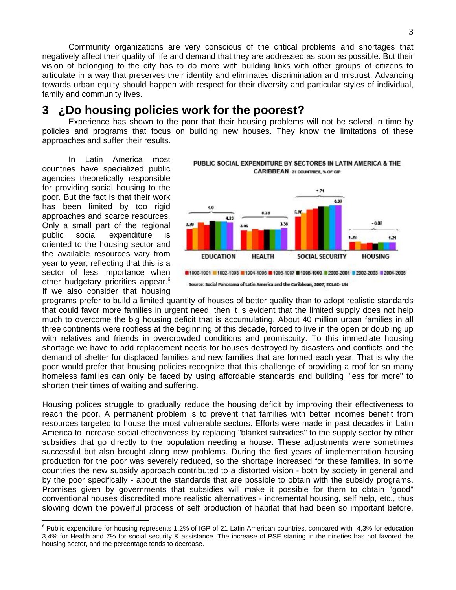Community organizations are very conscious of the critical problems and shortages that negatively affect their quality of life and demand that they are addressed as soon as possible. But their vision of belonging to the city has to do more with building links with other groups of citizens to articulate in a way that preserves their identity and eliminates discrimination and mistrust. Advancing towards urban equity should happen with respect for their diversity and particular styles of individual, family and community lives.

## **3 ¿Do housing policies work for the poorest?**

 Experience has shown to the poor that their housing problems will not be solved in time by policies and programs that focus on building new houses. They know the limitations of these approaches and suffer their results.

 In Latin America most countries have specialized public agencies theoretically responsible for providing social housing to the poor. But the fact is that their work has been limited by too rigid approaches and scarce resources. Only a small part of the regional public social expenditure is oriented to the housing sector and the available resources vary from year to year, reflecting that this is a sector of less importance when other budgetary priorities appear.<sup>6</sup> If we also consider that housing

 $\overline{a}$ 



programs prefer to build a limited quantity of houses of better quality than to adopt realistic standards that could favor more families in urgent need, then it is evident that the limited supply does not help much to overcome the big housing deficit that is accumulating. About 40 million urban families in all three continents were roofless at the beginning of this decade, forced to live in the open or doubling up with relatives and friends in overcrowded conditions and promiscuity. To this immediate housing shortage we have to add replacement needs for houses destroyed by disasters and conflicts and the demand of shelter for displaced families and new families that are formed each year. That is why the poor would prefer that housing policies recognize that this challenge of providing a roof for so many homeless families can only be faced by using affordable standards and building "less for more" to shorten their times of waiting and suffering.

Housing polices struggle to gradually reduce the housing deficit by improving their effectiveness to reach the poor. A permanent problem is to prevent that families with better incomes benefit from resources targeted to house the most vulnerable sectors. Efforts were made in past decades in Latin America to increase social effectiveness by replacing "blanket subsidies" to the supply sector by other subsidies that go directly to the population needing a house. These adjustments were sometimes successful but also brought along new problems. During the first years of implementation housing production for the poor was severely reduced, so the shortage increased for these families. In some countries the new subsidy approach contributed to a distorted vision - both by society in general and by the poor specifically - about the standards that are possible to obtain with the subsidy programs. Promises given by governments that subsidies will make it possible for them to obtain "good" conventional houses discredited more realistic alternatives - incremental housing, self help, etc., thus slowing down the powerful process of self production of habitat that had been so important before.

<sup>6</sup> Public expenditure for housing represents 1,2% of IGP of 21 Latin American countries, compared with 4,3% for education 3,4% for Health and 7% for social security & assistance. The increase of PSE starting in the nineties has not favored the housing sector, and the percentage tends to decrease.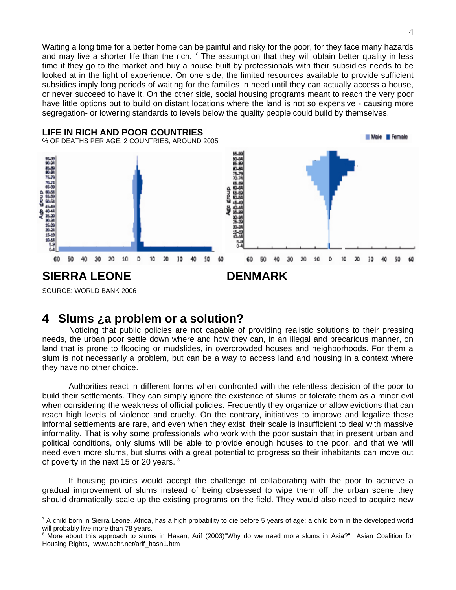Waiting a long time for a better home can be painful and risky for the poor, for they face many hazards and may live a shorter life than the rich.  $^7$  The assumption that they will obtain better quality in less time if they go to the market and buy a house built by professionals with their subsidies needs to be looked at in the light of experience. On one side, the limited resources available to provide sufficient subsidies imply long periods of waiting for the families in need until they can actually access a house, or never succeed to have it. On the other side, social housing programs meant to reach the very poor have little options but to build on distant locations where the land is not so expensive - causing more segregation- or lowering standards to levels below the quality people could build by themselves.



### **4 Slums ¿a problem or a solution?**

 Noticing that public policies are not capable of providing realistic solutions to their pressing needs, the urban poor settle down where and how they can, in an illegal and precarious manner, on land that is prone to flooding or mudslides, in overcrowded houses and neighborhoods. For them a slum is not necessarily a problem, but can be a way to access land and housing in a context where they have no other choice.

 Authorities react in different forms when confronted with the relentless decision of the poor to build their settlements. They can simply ignore the existence of slums or tolerate them as a minor evil when considering the weakness of official policies. Frequently they organize or allow evictions that can reach high levels of violence and cruelty. On the contrary, initiatives to improve and legalize these informal settlements are rare, and even when they exist, their scale is insufficient to deal with massive informality. That is why some professionals who work with the poor sustain that in present urban and political conditions, only slums will be able to provide enough houses to the poor, and that we will need even more slums, but slums with a great potential to progress so their inhabitants can move out of poverty in the next 15 or 20 years. <sup>8</sup>

 If housing policies would accept the challenge of collaborating with the poor to achieve a gradual improvement of slums instead of being obsessed to wipe them off the urban scene they should dramatically scale up the existing programs on the field. They would also need to acquire new

 $\overline{a}$  $7$  A child born in Sierra Leone, Africa, has a high probability to die before 5 years of age; a child born in the developed world will probably live more than 78 years.

<sup>&</sup>lt;sup>8</sup> More about this approach to slums in Hasan, Arif (2003)"Why do we need more slums in Asia?" Asian Coalition for Housing Rights, www.achr.net/arif\_hasn1.htm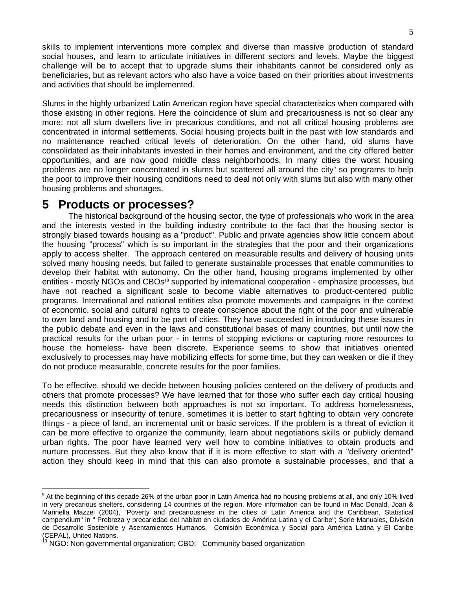skills to implement interventions more complex and diverse than massive production of standard social houses, and learn to articulate initiatives in different sectors and levels. Maybe the biggest challenge will be to accept that to upgrade slums their inhabitants cannot be considered only as beneficiaries, but as relevant actors who also have a voice based on their priorities about investments and activities that should be implemented.

Slums in the highly urbanized Latin American region have special characteristics when compared with those existing in other regions. Here the coincidence of slum and precariousness is not so clear any more: not all slum dwellers live in precarious conditions, and not all critical housing problems are concentrated in informal settlements. Social housing projects built in the past with low standards and no maintenance reached critical levels of deterioration. On the other hand, old slums have consolidated as their inhabitants invested in their homes and environment, and the city offered better opportunities, and are now good middle class neighborhoods. In many cities the worst housing problems are no longer concentrated in slums but scattered all around the city<sup>9</sup> so programs to help the poor to improve their housing conditions need to deal not only with slums but also with many other housing problems and shortages.

### **5 Products or processes?**

 The historical background of the housing sector, the type of professionals who work in the area and the interests vested in the building industry contribute to the fact that the housing sector is strongly biased towards housing as a "product". Public and private agencies show little concern about the housing "process" which is so important in the strategies that the poor and their organizations apply to access shelter. The approach centered on measurable results and delivery of housing units solved many housing needs, but failed to generate sustainable processes that enable communities to develop their habitat with autonomy. On the other hand, housing programs implemented by other entities - mostly NGOs and CBOs<sup>10</sup> supported by international cooperation - emphasize processes, but have not reached a significant scale to become viable alternatives to product-centered public programs. International and national entities also promote movements and campaigns in the context of economic, social and cultural rights to create conscience about the right of the poor and vulnerable to own land and housing and to be part of cities. They have succeeded in introducing these issues in the public debate and even in the laws and constitutional bases of many countries, but until now the practical results for the urban poor - in terms of stopping evictions or capturing more resources to house the homeless- have been discrete. Experience seems to show that initiatives oriented exclusively to processes may have mobilizing effects for some time, but they can weaken or die if they do not produce measurable, concrete results for the poor families.

To be effective, should we decide between housing policies centered on the delivery of products and others that promote processes? We have learned that for those who suffer each day critical housing needs this distinction between both approaches is not so important. To address homelessness, precariousness or insecurity of tenure, sometimes it is better to start fighting to obtain very concrete things - a piece of land, an incremental unit or basic services. If the problem is a threat of eviction it can be more effective to organize the community, learn about negotiations skills or publicly demand urban rights. The poor have learned very well how to combine initiatives to obtain products and nurture processes. But they also know that if it is more effective to start with a "delivery oriented" action they should keep in mind that this can also promote a sustainable processes, and that a

 $\overline{a}$ <sup>9</sup> At the beginning of this decade 26% of the urban poor in Latin America had no housing problems at all, and only 10% lived in very precarious shelters, considering 14 countries of the region. More information can be found in Mac Donald, Joan & Marinella Mazzei (2004), "Poverty and precariousness in the cities of Latin America and the Caribbean. Statistical compendium" in " Probreza y precariedad del hábitat en ciudades de América Latina y el Caribe"; Serie Manuales, División de Desarrollo Sostenible y Asentamientos Humanos, Comisión Económica y Social para América Latina y El Caribe (CEPAL), United Nations.

 $10$  NGO: Non governmental organization; CBO: Community based organization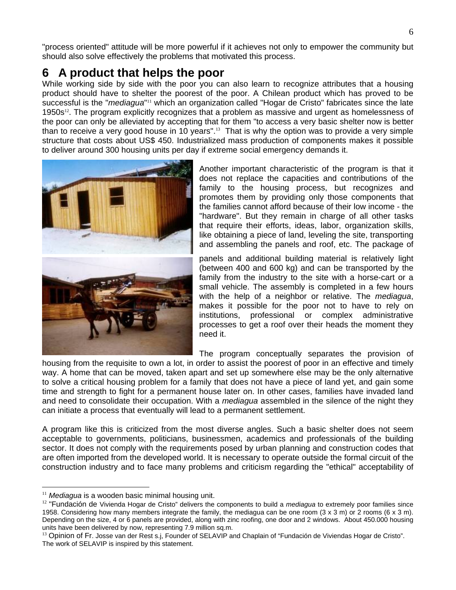"process oriented" attitude will be more powerful if it achieves not only to empower the community but should also solve effectively the problems that motivated this process.

# **6 A product that helps the poor**

While working side by side with the poor you can also learn to recognize attributes that a housing product should have to shelter the poorest of the poor. A Chilean product which has proved to be successful is the "*mediagua*"<sup>11</sup> which an organization called "Hogar de Cristo" fabricates since the late 1950s $<sup>12</sup>$ . The program explicitly recognizes that a problem as massive and urgent as homelessness of</sup> the poor can only be alleviated by accepting that for them "to access a very basic shelter now is better than to receive a very good house in 10 years".<sup>13</sup> That is why the option was to provide a very simple structure that costs about US\$ 450. Industrialized mass production of components makes it possible to deliver around 300 housing units per day if extreme social emergency demands it.



Another important characteristic of the program is that it does not replace the capacities and contributions of the family to the housing process, but recognizes and promotes them by providing only those components that the families cannot afford because of their low income - the "hardware". But they remain in charge of all other tasks that require their efforts, ideas, labor, organization skills, like obtaining a piece of land, leveling the site, transporting and assembling the panels and roof, etc. The package of

panels and additional building material is relatively light (between 400 and 600 kg) and can be transported by the family from the industry to the site with a horse-cart or a small vehicle. The assembly is completed in a few hours with the help of a neighbor or relative. The *mediagua*, makes it possible for the poor not to have to rely on institutions, professional or complex administrative processes to get a roof over their heads the moment they need it.

The program conceptually separates the provision of

housing from the requisite to own a lot, in order to assist the poorest of poor in an effective and timely way. A home that can be moved, taken apart and set up somewhere else may be the only alternative to solve a critical housing problem for a family that does not have a piece of land yet, and gain some time and strength to fight for a permanent house later on. In other cases, families have invaded land and need to consolidate their occupation. With a *mediagua* assembled in the silence of the night they can initiate a process that eventually will lead to a permanent settlement.

A program like this is criticized from the most diverse angles. Such a basic shelter does not seem acceptable to governments, politicians, businessmen, academics and professionals of the building sector. It does not comply with the requirements posed by urban planning and construction codes that are often imported from the developed world. It is necessary to operate outside the formal circuit of the construction industry and to face many problems and criticism regarding the "ethical" acceptability of

 $\overline{a}$ 

<sup>&</sup>lt;sup>11</sup> Mediagua is a wooden basic minimal housing unit.

<sup>&</sup>lt;sup>12</sup> "Fundación de Vivienda Hogar de Cristo" delivers the components to build a *mediagua* to extremely poor families since 1958. Considering how many members integrate the family, the mediagua can be one room  $(3 \times 3 \text{ m})$  or 2 rooms  $(6 \times 3 \text{ m})$ . Depending on the size, 4 or 6 panels are provided, along with zinc roofing, one door and 2 windows. About 450.000 housing units have been delivered by now, representing 7.9 million sq.m.

<sup>&</sup>lt;sup>13</sup> Opinion of Fr. Josse van der Rest s.j, Founder of SELAVIP and Chaplain of "Fundación de Viviendas Hogar de Cristo". The work of SELAVIP is inspired by this statement.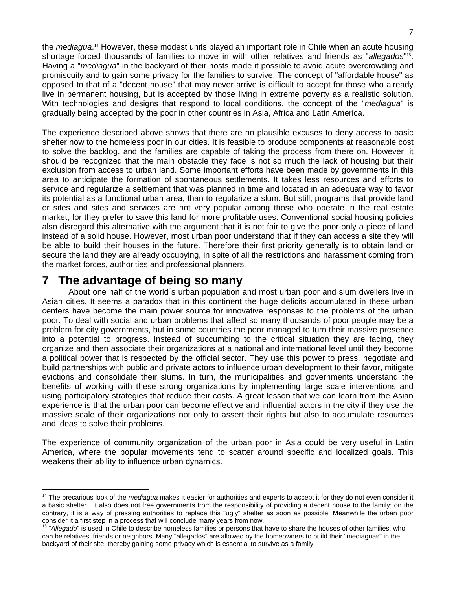the *mediagua*.<sup>14</sup> However, these modest units played an important role in Chile when an acute housing shortage forced thousands of families to move in with other relatives and friends as "*allegados*" <sup>15</sup>. Having a "*mediagua*" in the backyard of their hosts made it possible to avoid acute overcrowding and promiscuity and to gain some privacy for the families to survive. The concept of "affordable house" as opposed to that of a "decent house" that may never arrive is difficult to accept for those who already live in permanent housing, but is accepted by those living in extreme poverty as a realistic solution. With technologies and designs that respond to local conditions, the concept of the "*mediagua*" is gradually being accepted by the poor in other countries in Asia, Africa and Latin America.

The experience described above shows that there are no plausible excuses to deny access to basic shelter now to the homeless poor in our cities. It is feasible to produce components at reasonable cost to solve the backlog, and the families are capable of taking the process from there on. However, it should be recognized that the main obstacle they face is not so much the lack of housing but their exclusion from access to urban land. Some important efforts have been made by governments in this area to anticipate the formation of spontaneous settlements. It takes less resources and efforts to service and regularize a settlement that was planned in time and located in an adequate way to favor its potential as a functional urban area, than to regularize a slum. But still, programs that provide land or sites and sites and services are not very popular among those who operate in the real estate market, for they prefer to save this land for more profitable uses. Conventional social housing policies also disregard this alternative with the argument that it is not fair to give the poor only a piece of land instead of a solid house. However, most urban poor understand that if they can access a site they will be able to build their houses in the future. Therefore their first priority generally is to obtain land or secure the land they are already occupying, in spite of all the restrictions and harassment coming from the market forces, authorities and professional planners.

### **7 The advantage of being so many**

 $\overline{a}$ 

 About one half of the world´s urban population and most urban poor and slum dwellers live in Asian cities. It seems a paradox that in this continent the huge deficits accumulated in these urban centers have become the main power source for innovative responses to the problems of the urban poor. To deal with social and urban problems that affect so many thousands of poor people may be a problem for city governments, but in some countries the poor managed to turn their massive presence into a potential to progress. Instead of succumbing to the critical situation they are facing, they organize and then associate their organizations at a national and international level until they become a political power that is respected by the official sector. They use this power to press, negotiate and build partnerships with public and private actors to influence urban development to their favor, mitigate evictions and consolidate their slums. In turn, the municipalities and governments understand the benefits of working with these strong organizations by implementing large scale interventions and using participatory strategies that reduce their costs. A great lesson that we can learn from the Asian experience is that the urban poor can become effective and influential actors in the city if they use the massive scale of their organizations not only to assert their rights but also to accumulate resources and ideas to solve their problems.

The experience of community organization of the urban poor in Asia could be very useful in Latin America, where the popular movements tend to scatter around specific and localized goals. This weakens their ability to influence urban dynamics.

<sup>14</sup> The precarious look of the *mediagua* makes it easier for authorities and experts to accept it for they do not even consider it a basic shelter. It also does not free governments from the responsibility of providing a decent house to the family; on the contrary, it is a way of pressing authorities to replace this "ugly" shelter as soon as possible. Meanwhile the urban poor consider it a first step in a process that will conclude many years from now.<br><sup>15</sup> "Allegado" is used in Chile to describe homeless families or persons that have to share the houses of other families, who

can be relatives, friends or neighbors. Many "allegados" are allowed by the homeowners to build their "mediaguas" in the backyard of their site, thereby gaining some privacy which is essential to survive as a family.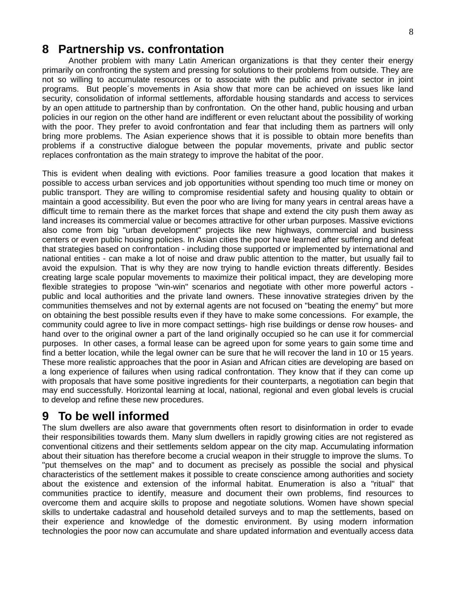### **8 Partnership vs. confrontation**

 Another problem with many Latin American organizations is that they center their energy primarily on confronting the system and pressing for solutions to their problems from outside. They are not so willing to accumulate resources or to associate with the public and private sector in joint programs. But people´s movements in Asia show that more can be achieved on issues like land security, consolidation of informal settlements, affordable housing standards and access to services by an open attitude to partnership than by confrontation. On the other hand, public housing and urban policies in our region on the other hand are indifferent or even reluctant about the possibility of working with the poor. They prefer to avoid confrontation and fear that including them as partners will only bring more problems. The Asian experience shows that it is possible to obtain more benefits than problems if a constructive dialogue between the popular movements, private and public sector replaces confrontation as the main strategy to improve the habitat of the poor.

This is evident when dealing with evictions. Poor families treasure a good location that makes it possible to access urban services and job opportunities without spending too much time or money on public transport. They are willing to compromise residential safety and housing quality to obtain or maintain a good accessibility. But even the poor who are living for many years in central areas have a difficult time to remain there as the market forces that shape and extend the city push them away as land increases its commercial value or becomes attractive for other urban purposes. Massive evictions also come from big "urban development" projects like new highways, commercial and business centers or even public housing policies. In Asian cities the poor have learned after suffering and defeat that strategies based on confrontation - including those supported or implemented by international and national entities - can make a lot of noise and draw public attention to the matter, but usually fail to avoid the expulsion. That is why they are now trying to handle eviction threats differently. Besides creating large scale popular movements to maximize their political impact, they are developing more flexible strategies to propose "win-win" scenarios and negotiate with other more powerful actors public and local authorities and the private land owners. These innovative strategies driven by the communities themselves and not by external agents are not focused on "beating the enemy" but more on obtaining the best possible results even if they have to make some concessions. For example, the community could agree to live in more compact settings- high rise buildings or dense row houses- and hand over to the original owner a part of the land originally occupied so he can use it for commercial purposes. In other cases, a formal lease can be agreed upon for some years to gain some time and find a better location, while the legal owner can be sure that he will recover the land in 10 or 15 years. These more realistic approaches that the poor in Asian and African cities are developing are based on a long experience of failures when using radical confrontation. They know that if they can come up with proposals that have some positive ingredients for their counterparts, a negotiation can begin that may end successfully. Horizontal learning at local, national, regional and even global levels is crucial to develop and refine these new procedures.

### **9 To be well informed**

The slum dwellers are also aware that governments often resort to disinformation in order to evade their responsibilities towards them. Many slum dwellers in rapidly growing cities are not registered as conventional citizens and their settlements seldom appear on the city map. Accumulating information about their situation has therefore become a crucial weapon in their struggle to improve the slums. To "put themselves on the map" and to document as precisely as possible the social and physical characteristics of the settlement makes it possible to create conscience among authorities and society about the existence and extension of the informal habitat. Enumeration is also a "ritual" that communities practice to identify, measure and document their own problems, find resources to overcome them and acquire skills to propose and negotiate solutions. Women have shown special skills to undertake cadastral and household detailed surveys and to map the settlements, based on their experience and knowledge of the domestic environment. By using modern information technologies the poor now can accumulate and share updated information and eventually access data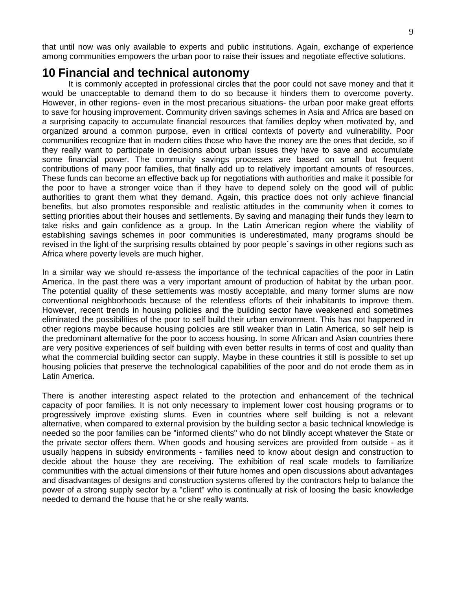that until now was only available to experts and public institutions. Again, exchange of experience among communities empowers the urban poor to raise their issues and negotiate effective solutions.

### **10 Financial and technical autonomy**

 It is commonly accepted in professional circles that the poor could not save money and that it would be unacceptable to demand them to do so because it hinders them to overcome poverty. However, in other regions- even in the most precarious situations- the urban poor make great efforts to save for housing improvement. Community driven savings schemes in Asia and Africa are based on a surprising capacity to accumulate financial resources that families deploy when motivated by, and organized around a common purpose, even in critical contexts of poverty and vulnerability. Poor communities recognize that in modern cities those who have the money are the ones that decide, so if they really want to participate in decisions about urban issues they have to save and accumulate some financial power. The community savings processes are based on small but frequent contributions of many poor families, that finally add up to relatively important amounts of resources. These funds can become an effective back up for negotiations with authorities and make it possible for the poor to have a stronger voice than if they have to depend solely on the good will of public authorities to grant them what they demand. Again, this practice does not only achieve financial benefits, but also promotes responsible and realistic attitudes in the community when it comes to setting priorities about their houses and settlements. By saving and managing their funds they learn to take risks and gain confidence as a group. In the Latin American region where the viability of establishing savings schemes in poor communities is underestimated, many programs should be revised in the light of the surprising results obtained by poor people´s savings in other regions such as Africa where poverty levels are much higher.

In a similar way we should re-assess the importance of the technical capacities of the poor in Latin America. In the past there was a very important amount of production of habitat by the urban poor. The potential quality of these settlements was mostly acceptable, and many former slums are now conventional neighborhoods because of the relentless efforts of their inhabitants to improve them. However, recent trends in housing policies and the building sector have weakened and sometimes eliminated the possibilities of the poor to self build their urban environment. This has not happened in other regions maybe because housing policies are still weaker than in Latin America, so self help is the predominant alternative for the poor to access housing. In some African and Asian countries there are very positive experiences of self building with even better results in terms of cost and quality than what the commercial building sector can supply. Maybe in these countries it still is possible to set up housing policies that preserve the technological capabilities of the poor and do not erode them as in Latin America.

There is another interesting aspect related to the protection and enhancement of the technical capacity of poor families. It is not only necessary to implement lower cost housing programs or to progressively improve existing slums. Even in countries where self building is not a relevant alternative, when compared to external provision by the building sector a basic technical knowledge is needed so the poor families can be "informed clients" who do not blindly accept whatever the State or the private sector offers them. When goods and housing services are provided from outside - as it usually happens in subsidy environments - families need to know about design and construction to decide about the house they are receiving. The exhibition of real scale models to familiarize communities with the actual dimensions of their future homes and open discussions about advantages and disadvantages of designs and construction systems offered by the contractors help to balance the power of a strong supply sector by a "client" who is continually at risk of loosing the basic knowledge needed to demand the house that he or she really wants.